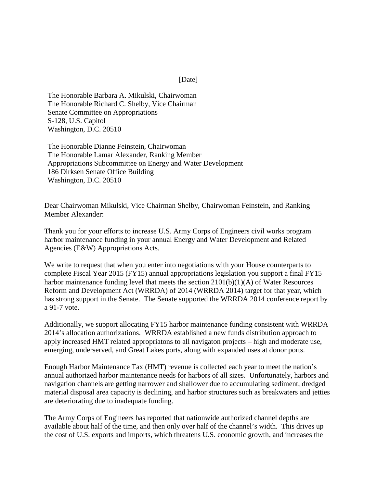## [Date]

The Honorable Barbara A. Mikulski, Chairwoman The Honorable Richard C. Shelby, Vice Chairman Senate Committee on Appropriations S-128, U.S. Capitol Washington, D.C. 20510

The Honorable Dianne Feinstein, Chairwoman The Honorable Lamar Alexander, Ranking Member Appropriations Subcommittee on Energy and Water Development 186 Dirksen Senate Office Building Washington, D.C. 20510

Dear Chairwoman Mikulski, Vice Chairman Shelby, Chairwoman Feinstein, and Ranking Member Alexander:

Thank you for your efforts to increase U.S. Army Corps of Engineers civil works program harbor maintenance funding in your annual Energy and Water Development and Related Agencies (E&W) Appropriations Acts.

We write to request that when you enter into negotiations with your House counterparts to complete Fiscal Year 2015 (FY15) annual appropriations legislation you support a final FY15 harbor maintenance funding level that meets the section 2101(b)(1)(A) of Water Resources Reform and Development Act (WRRDA) of 2014 (WRRDA 2014) target for that year, which has strong support in the Senate. The Senate supported the WRRDA 2014 conference report by a 91-7 vote.

Additionally, we support allocating FY15 harbor maintenance funding consistent with WRRDA 2014's allocation authorizations. WRRDA established a new funds distribution approach to apply increased HMT related appropriatons to all navigaton projects – high and moderate use, emerging, underserved, and Great Lakes ports, along with expanded uses at donor ports.

Enough Harbor Maintenance Tax (HMT) revenue is collected each year to meet the nation's annual authorized harbor maintenance needs for harbors of all sizes. Unfortunately, harbors and navigation channels are getting narrower and shallower due to accumulating sediment, dredged material disposal area capacity is declining, and harbor structures such as breakwaters and jetties are deteriorating due to inadequate funding.

The Army Corps of Engineers has reported that nationwide authorized channel depths are available about half of the time, and then only over half of the channel's width. This drives up the cost of U.S. exports and imports, which threatens U.S. economic growth, and increases the